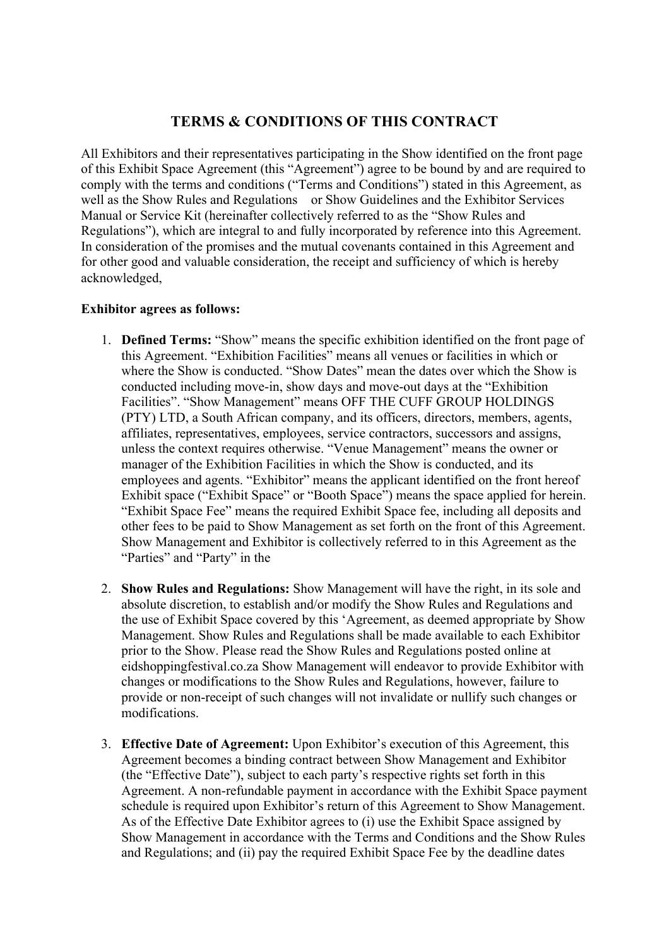## **TERMS & CONDITIONS OF THIS CONTRACT**

All Exhibitors and their representatives participating in the Show identified on the front page of this Exhibit Space Agreement (this "Agreement") agree to be bound by and are required to comply with the terms and conditions ("Terms and Conditions") stated in this Agreement, as well as the Show Rules and Regulations or Show Guidelines and the Exhibitor Services Manual or Service Kit (hereinafter collectively referred to as the "Show Rules and Regulations"), which are integral to and fully incorporated by reference into this Agreement. In consideration of the promises and the mutual covenants contained in this Agreement and for other good and valuable consideration, the receipt and sufficiency of which is hereby acknowledged,

## **Exhibitor agrees as follows:**

- 1. **Defined Terms:** "Show" means the specific exhibition identified on the front page of this Agreement. "Exhibition Facilities" means all venues or facilities in which or where the Show is conducted. "Show Dates" mean the dates over which the Show is conducted including move-in, show days and move-out days at the "Exhibition Facilities". "Show Management" means OFF THE CUFF GROUP HOLDINGS (PTY) LTD, a South African company, and its officers, directors, members, agents, affiliates, representatives, employees, service contractors, successors and assigns, unless the context requires otherwise. "Venue Management" means the owner or manager of the Exhibition Facilities in which the Show is conducted, and its employees and agents. "Exhibitor" means the applicant identified on the front hereof Exhibit space ("Exhibit Space" or "Booth Space") means the space applied for herein. "Exhibit Space Fee" means the required Exhibit Space fee, including all deposits and other fees to be paid to Show Management as set forth on the front of this Agreement. Show Management and Exhibitor is collectively referred to in this Agreement as the "Parties" and "Party" in the
- 2. **Show Rules and Regulations:** Show Management will have the right, in its sole and absolute discretion, to establish and/or modify the Show Rules and Regulations and the use of Exhibit Space covered by this 'Agreement, as deemed appropriate by Show Management. Show Rules and Regulations shall be made available to each Exhibitor prior to the Show. Please read the Show Rules and Regulations posted online at eidshoppingfestival.co.za Show Management will endeavor to provide Exhibitor with changes or modifications to the Show Rules and Regulations, however, failure to provide or non-receipt of such changes will not invalidate or nullify such changes or modifications.
- 3. **Effective Date of Agreement:** Upon Exhibitor's execution of this Agreement, this Agreement becomes a binding contract between Show Management and Exhibitor (the "Effective Date"), subject to each party's respective rights set forth in this Agreement. A non-refundable payment in accordance with the Exhibit Space payment schedule is required upon Exhibitor's return of this Agreement to Show Management. As of the Effective Date Exhibitor agrees to (i) use the Exhibit Space assigned by Show Management in accordance with the Terms and Conditions and the Show Rules and Regulations; and (ii) pay the required Exhibit Space Fee by the deadline dates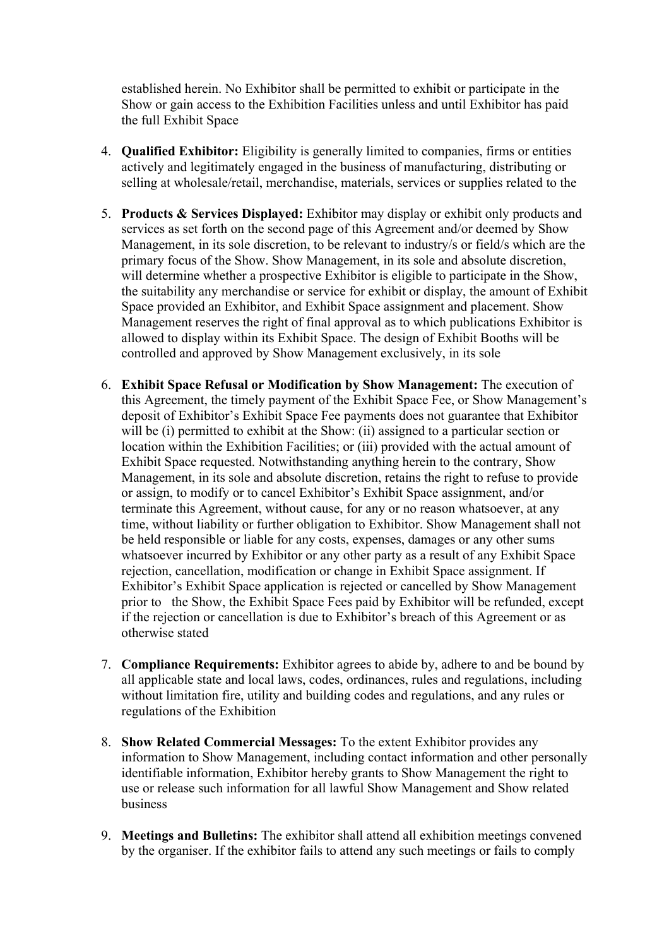established herein. No Exhibitor shall be permitted to exhibit or participate in the Show or gain access to the Exhibition Facilities unless and until Exhibitor has paid the full Exhibit Space

- 4. **Qualified Exhibitor:** Eligibility is generally limited to companies, firms or entities actively and legitimately engaged in the business of manufacturing, distributing or selling at wholesale/retail, merchandise, materials, services or supplies related to the
- 5. **Products & Services Displayed:** Exhibitor may display or exhibit only products and services as set forth on the second page of this Agreement and/or deemed by Show Management, in its sole discretion, to be relevant to industry/s or field/s which are the primary focus of the Show. Show Management, in its sole and absolute discretion, will determine whether a prospective Exhibitor is eligible to participate in the Show, the suitability any merchandise or service for exhibit or display, the amount of Exhibit Space provided an Exhibitor, and Exhibit Space assignment and placement. Show Management reserves the right of final approval as to which publications Exhibitor is allowed to display within its Exhibit Space. The design of Exhibit Booths will be controlled and approved by Show Management exclusively, in its sole
- 6. **Exhibit Space Refusal or Modification by Show Management:** The execution of this Agreement, the timely payment of the Exhibit Space Fee, or Show Management's deposit of Exhibitor's Exhibit Space Fee payments does not guarantee that Exhibitor will be (i) permitted to exhibit at the Show: (ii) assigned to a particular section or location within the Exhibition Facilities; or (iii) provided with the actual amount of Exhibit Space requested. Notwithstanding anything herein to the contrary, Show Management, in its sole and absolute discretion, retains the right to refuse to provide or assign, to modify or to cancel Exhibitor's Exhibit Space assignment, and/or terminate this Agreement, without cause, for any or no reason whatsoever, at any time, without liability or further obligation to Exhibitor. Show Management shall not be held responsible or liable for any costs, expenses, damages or any other sums whatsoever incurred by Exhibitor or any other party as a result of any Exhibit Space rejection, cancellation, modification or change in Exhibit Space assignment. If Exhibitor's Exhibit Space application is rejected or cancelled by Show Management prior to the Show, the Exhibit Space Fees paid by Exhibitor will be refunded, except if the rejection or cancellation is due to Exhibitor's breach of this Agreement or as otherwise stated
- 7. **Compliance Requirements:** Exhibitor agrees to abide by, adhere to and be bound by all applicable state and local laws, codes, ordinances, rules and regulations, including without limitation fire, utility and building codes and regulations, and any rules or regulations of the Exhibition
- 8. **Show Related Commercial Messages:** To the extent Exhibitor provides any information to Show Management, including contact information and other personally identifiable information, Exhibitor hereby grants to Show Management the right to use or release such information for all lawful Show Management and Show related business
- 9. **Meetings and Bulletins:** The exhibitor shall attend all exhibition meetings convened by the organiser. If the exhibitor fails to attend any such meetings or fails to comply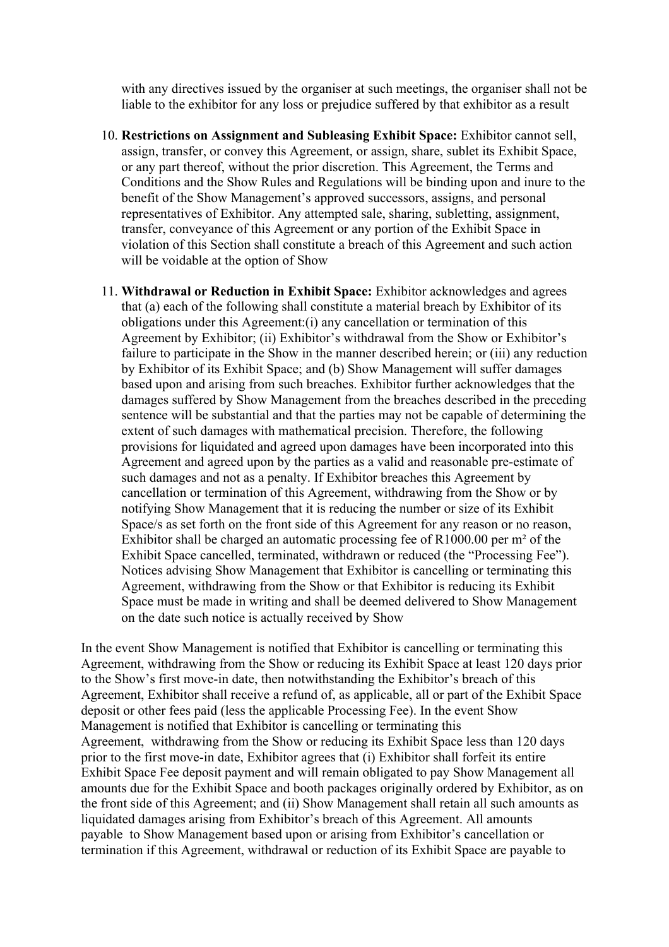with any directives issued by the organiser at such meetings, the organiser shall not be liable to the exhibitor for any loss or prejudice suffered by that exhibitor as a result

- 10. **Restrictions on Assignment and Subleasing Exhibit Space:** Exhibitor cannot sell, assign, transfer, or convey this Agreement, or assign, share, sublet its Exhibit Space, or any part thereof, without the prior discretion. This Agreement, the Terms and Conditions and the Show Rules and Regulations will be binding upon and inure to the benefit of the Show Management's approved successors, assigns, and personal representatives of Exhibitor. Any attempted sale, sharing, subletting, assignment, transfer, conveyance of this Agreement or any portion of the Exhibit Space in violation of this Section shall constitute a breach of this Agreement and such action will be voidable at the option of Show
- 11. **Withdrawal or Reduction in Exhibit Space:** Exhibitor acknowledges and agrees that (a) each of the following shall constitute a material breach by Exhibitor of its obligations under this Agreement:(i) any cancellation or termination of this Agreement by Exhibitor; (ii) Exhibitor's withdrawal from the Show or Exhibitor's failure to participate in the Show in the manner described herein; or (iii) any reduction by Exhibitor of its Exhibit Space; and (b) Show Management will suffer damages based upon and arising from such breaches. Exhibitor further acknowledges that the damages suffered by Show Management from the breaches described in the preceding sentence will be substantial and that the parties may not be capable of determining the extent of such damages with mathematical precision. Therefore, the following provisions for liquidated and agreed upon damages have been incorporated into this Agreement and agreed upon by the parties as a valid and reasonable pre-estimate of such damages and not as a penalty. If Exhibitor breaches this Agreement by cancellation or termination of this Agreement, withdrawing from the Show or by notifying Show Management that it is reducing the number or size of its Exhibit Space/s as set forth on the front side of this Agreement for any reason or no reason, Exhibitor shall be charged an automatic processing fee of R1000.00 per m² of the Exhibit Space cancelled, terminated, withdrawn or reduced (the "Processing Fee"). Notices advising Show Management that Exhibitor is cancelling or terminating this Agreement, withdrawing from the Show or that Exhibitor is reducing its Exhibit Space must be made in writing and shall be deemed delivered to Show Management on the date such notice is actually received by Show

In the event Show Management is notified that Exhibitor is cancelling or terminating this Agreement, withdrawing from the Show or reducing its Exhibit Space at least 120 days prior to the Show's first move-in date, then notwithstanding the Exhibitor's breach of this Agreement, Exhibitor shall receive a refund of, as applicable, all or part of the Exhibit Space deposit or other fees paid (less the applicable Processing Fee). In the event Show Management is notified that Exhibitor is cancelling or terminating this Agreement, withdrawing from the Show or reducing its Exhibit Space less than 120 days prior to the first move-in date, Exhibitor agrees that (i) Exhibitor shall forfeit its entire Exhibit Space Fee deposit payment and will remain obligated to pay Show Management all amounts due for the Exhibit Space and booth packages originally ordered by Exhibitor, as on the front side of this Agreement; and (ii) Show Management shall retain all such amounts as liquidated damages arising from Exhibitor's breach of this Agreement. All amounts payable to Show Management based upon or arising from Exhibitor's cancellation or termination if this Agreement, withdrawal or reduction of its Exhibit Space are payable to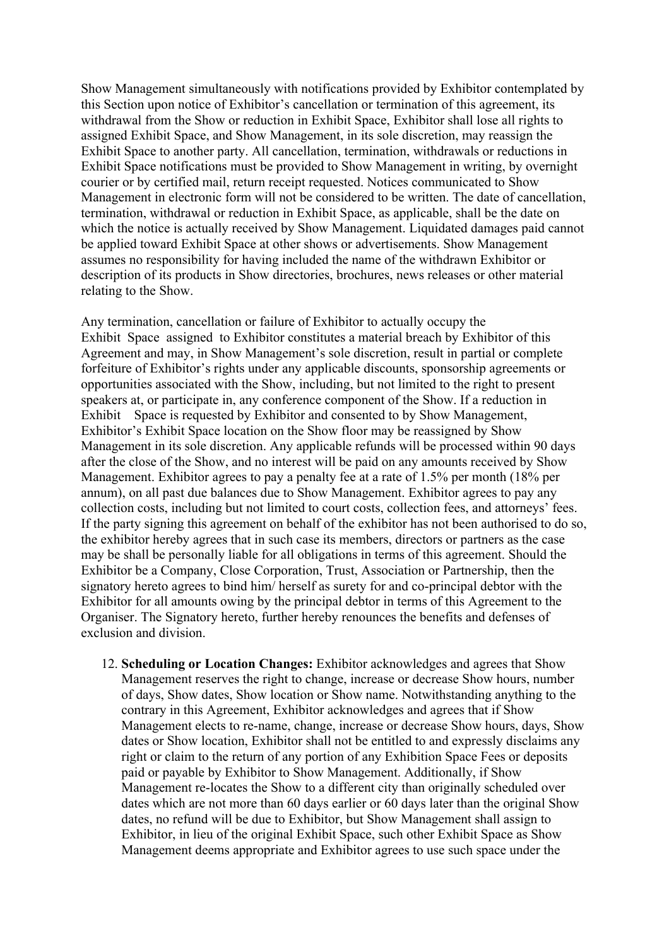Show Management simultaneously with notifications provided by Exhibitor contemplated by this Section upon notice of Exhibitor's cancellation or termination of this agreement, its withdrawal from the Show or reduction in Exhibit Space, Exhibitor shall lose all rights to assigned Exhibit Space, and Show Management, in its sole discretion, may reassign the Exhibit Space to another party. All cancellation, termination, withdrawals or reductions in Exhibit Space notifications must be provided to Show Management in writing, by overnight courier or by certified mail, return receipt requested. Notices communicated to Show Management in electronic form will not be considered to be written. The date of cancellation, termination, withdrawal or reduction in Exhibit Space, as applicable, shall be the date on which the notice is actually received by Show Management. Liquidated damages paid cannot be applied toward Exhibit Space at other shows or advertisements. Show Management assumes no responsibility for having included the name of the withdrawn Exhibitor or description of its products in Show directories, brochures, news releases or other material relating to the Show.

Any termination, cancellation or failure of Exhibitor to actually occupy the Exhibit Space assigned to Exhibitor constitutes a material breach by Exhibitor of this Agreement and may, in Show Management's sole discretion, result in partial or complete forfeiture of Exhibitor's rights under any applicable discounts, sponsorship agreements or opportunities associated with the Show, including, but not limited to the right to present speakers at, or participate in, any conference component of the Show. If a reduction in Exhibit Space is requested by Exhibitor and consented to by Show Management, Exhibitor's Exhibit Space location on the Show floor may be reassigned by Show Management in its sole discretion. Any applicable refunds will be processed within 90 days after the close of the Show, and no interest will be paid on any amounts received by Show Management. Exhibitor agrees to pay a penalty fee at a rate of 1.5% per month (18% per annum), on all past due balances due to Show Management. Exhibitor agrees to pay any collection costs, including but not limited to court costs, collection fees, and attorneys' fees. If the party signing this agreement on behalf of the exhibitor has not been authorised to do so, the exhibitor hereby agrees that in such case its members, directors or partners as the case may be shall be personally liable for all obligations in terms of this agreement. Should the Exhibitor be a Company, Close Corporation, Trust, Association or Partnership, then the signatory hereto agrees to bind him/ herself as surety for and co-principal debtor with the Exhibitor for all amounts owing by the principal debtor in terms of this Agreement to the Organiser. The Signatory hereto, further hereby renounces the benefits and defenses of exclusion and division.

12. **Scheduling or Location Changes:** Exhibitor acknowledges and agrees that Show Management reserves the right to change, increase or decrease Show hours, number of days, Show dates, Show location or Show name. Notwithstanding anything to the contrary in this Agreement, Exhibitor acknowledges and agrees that if Show Management elects to re-name, change, increase or decrease Show hours, days, Show dates or Show location, Exhibitor shall not be entitled to and expressly disclaims any right or claim to the return of any portion of any Exhibition Space Fees or deposits paid or payable by Exhibitor to Show Management. Additionally, if Show Management re-locates the Show to a different city than originally scheduled over dates which are not more than 60 days earlier or 60 days later than the original Show dates, no refund will be due to Exhibitor, but Show Management shall assign to Exhibitor, in lieu of the original Exhibit Space, such other Exhibit Space as Show Management deems appropriate and Exhibitor agrees to use such space under the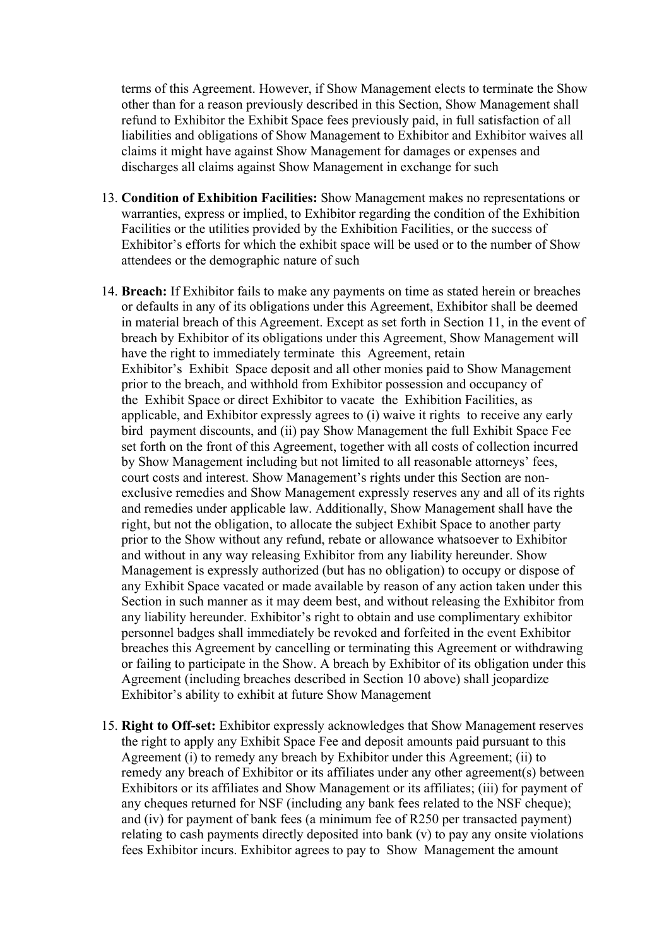terms of this Agreement. However, if Show Management elects to terminate the Show other than for a reason previously described in this Section, Show Management shall refund to Exhibitor the Exhibit Space fees previously paid, in full satisfaction of all liabilities and obligations of Show Management to Exhibitor and Exhibitor waives all claims it might have against Show Management for damages or expenses and discharges all claims against Show Management in exchange for such

- 13. **Condition of Exhibition Facilities:** Show Management makes no representations or warranties, express or implied, to Exhibitor regarding the condition of the Exhibition Facilities or the utilities provided by the Exhibition Facilities, or the success of Exhibitor's efforts for which the exhibit space will be used or to the number of Show attendees or the demographic nature of such
- 14. **Breach:** If Exhibitor fails to make any payments on time as stated herein or breaches or defaults in any of its obligations under this Agreement, Exhibitor shall be deemed in material breach of this Agreement. Except as set forth in Section 11, in the event of breach by Exhibitor of its obligations under this Agreement, Show Management will have the right to immediately terminate this Agreement, retain Exhibitor's Exhibit Space deposit and all other monies paid to Show Management prior to the breach, and withhold from Exhibitor possession and occupancy of the Exhibit Space or direct Exhibitor to vacate the Exhibition Facilities, as applicable, and Exhibitor expressly agrees to (i) waive it rights to receive any early bird payment discounts, and (ii) pay Show Management the full Exhibit Space Fee set forth on the front of this Agreement, together with all costs of collection incurred by Show Management including but not limited to all reasonable attorneys' fees, court costs and interest. Show Management's rights under this Section are nonexclusive remedies and Show Management expressly reserves any and all of its rights and remedies under applicable law. Additionally, Show Management shall have the right, but not the obligation, to allocate the subject Exhibit Space to another party prior to the Show without any refund, rebate or allowance whatsoever to Exhibitor and without in any way releasing Exhibitor from any liability hereunder. Show Management is expressly authorized (but has no obligation) to occupy or dispose of any Exhibit Space vacated or made available by reason of any action taken under this Section in such manner as it may deem best, and without releasing the Exhibitor from any liability hereunder. Exhibitor's right to obtain and use complimentary exhibitor personnel badges shall immediately be revoked and forfeited in the event Exhibitor breaches this Agreement by cancelling or terminating this Agreement or withdrawing or failing to participate in the Show. A breach by Exhibitor of its obligation under this Agreement (including breaches described in Section 10 above) shall jeopardize Exhibitor's ability to exhibit at future Show Management
- 15. **Right to Off-set:** Exhibitor expressly acknowledges that Show Management reserves the right to apply any Exhibit Space Fee and deposit amounts paid pursuant to this Agreement (i) to remedy any breach by Exhibitor under this Agreement; (ii) to remedy any breach of Exhibitor or its affiliates under any other agreement(s) between Exhibitors or its affiliates and Show Management or its affiliates; (iii) for payment of any cheques returned for NSF (including any bank fees related to the NSF cheque); and (iv) for payment of bank fees (a minimum fee of R250 per transacted payment) relating to cash payments directly deposited into bank (v) to pay any onsite violations fees Exhibitor incurs. Exhibitor agrees to pay to Show Management the amount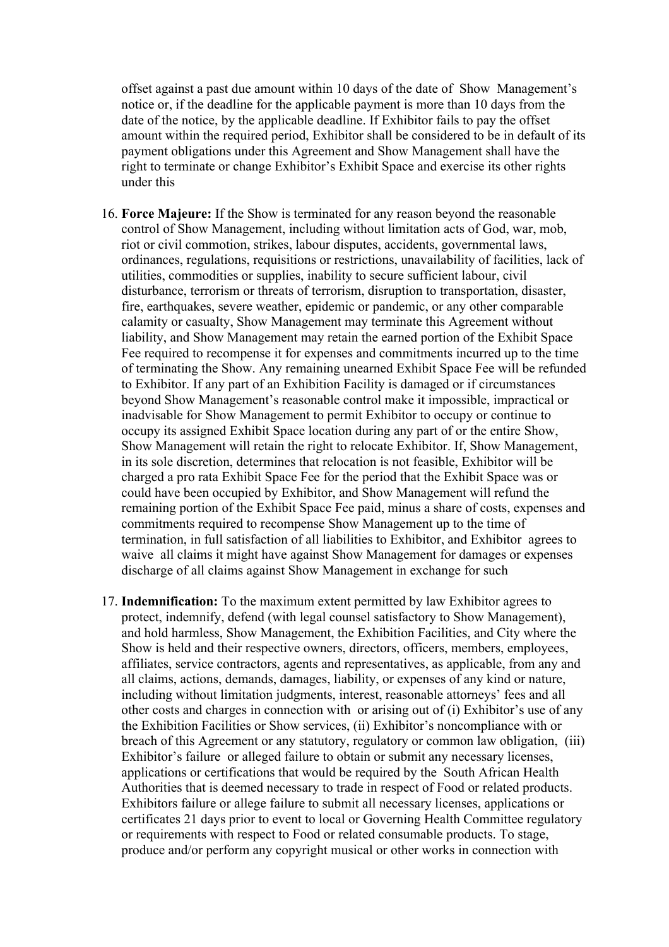offset against a past due amount within 10 days of the date of Show Management's notice or, if the deadline for the applicable payment is more than 10 days from the date of the notice, by the applicable deadline. If Exhibitor fails to pay the offset amount within the required period, Exhibitor shall be considered to be in default of its payment obligations under this Agreement and Show Management shall have the right to terminate or change Exhibitor's Exhibit Space and exercise its other rights under this

- 16. **Force Majeure:** If the Show is terminated for any reason beyond the reasonable control of Show Management, including without limitation acts of God, war, mob, riot or civil commotion, strikes, labour disputes, accidents, governmental laws, ordinances, regulations, requisitions or restrictions, unavailability of facilities, lack of utilities, commodities or supplies, inability to secure sufficient labour, civil disturbance, terrorism or threats of terrorism, disruption to transportation, disaster, fire, earthquakes, severe weather, epidemic or pandemic, or any other comparable calamity or casualty, Show Management may terminate this Agreement without liability, and Show Management may retain the earned portion of the Exhibit Space Fee required to recompense it for expenses and commitments incurred up to the time of terminating the Show. Any remaining unearned Exhibit Space Fee will be refunded to Exhibitor. If any part of an Exhibition Facility is damaged or if circumstances beyond Show Management's reasonable control make it impossible, impractical or inadvisable for Show Management to permit Exhibitor to occupy or continue to occupy its assigned Exhibit Space location during any part of or the entire Show, Show Management will retain the right to relocate Exhibitor. If, Show Management, in its sole discretion, determines that relocation is not feasible, Exhibitor will be charged a pro rata Exhibit Space Fee for the period that the Exhibit Space was or could have been occupied by Exhibitor, and Show Management will refund the remaining portion of the Exhibit Space Fee paid, minus a share of costs, expenses and commitments required to recompense Show Management up to the time of termination, in full satisfaction of all liabilities to Exhibitor, and Exhibitor agrees to waive all claims it might have against Show Management for damages or expenses discharge of all claims against Show Management in exchange for such
- 17. **Indemnification:** To the maximum extent permitted by law Exhibitor agrees to protect, indemnify, defend (with legal counsel satisfactory to Show Management), and hold harmless, Show Management, the Exhibition Facilities, and City where the Show is held and their respective owners, directors, officers, members, employees, affiliates, service contractors, agents and representatives, as applicable, from any and all claims, actions, demands, damages, liability, or expenses of any kind or nature, including without limitation judgments, interest, reasonable attorneys' fees and all other costs and charges in connection with or arising out of (i) Exhibitor's use of any the Exhibition Facilities or Show services, (ii) Exhibitor's noncompliance with or breach of this Agreement or any statutory, regulatory or common law obligation, (iii) Exhibitor's failure or alleged failure to obtain or submit any necessary licenses, applications or certifications that would be required by the South African Health Authorities that is deemed necessary to trade in respect of Food or related products. Exhibitors failure or allege failure to submit all necessary licenses, applications or certificates 21 days prior to event to local or Governing Health Committee regulatory or requirements with respect to Food or related consumable products. To stage, produce and/or perform any copyright musical or other works in connection with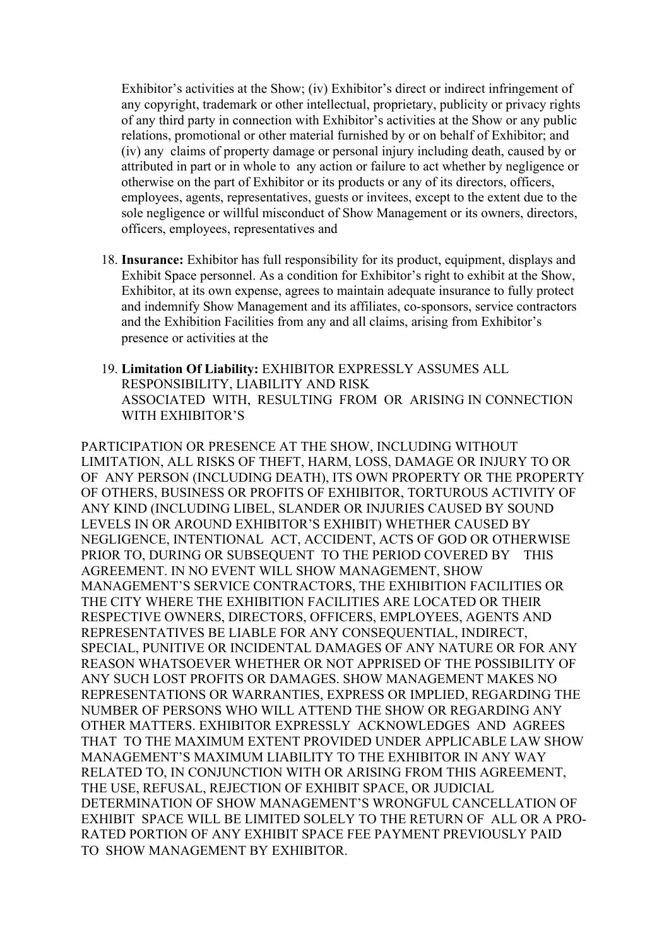Exhibitor's activities at the Show; (iv) Exhibitor's direct or indirect infringement of any copyright, trademark or other intellectual, proprietary, publicity or privacy rights of any third party in connection with Exhibitor's activities at the Show or any public relations, promotional or other material furnished by or on behalf of Exhibitor; and (iv) any claims of property damage or personal injury including death, caused by or attributed in part or in whole to any action or failure to act whether by negligence or otherwise on the part of Exhibitor or its products or any of its directors, officers, employees, agents, representatives, guests or invitees, except to the extent due to the sole negligence or willful misconduct of Show Management or its owners, directors, officers, employees, representatives and

- 18. **Insurance:** Exhibitor has full responsibility for its product, equipment, displays and Exhibit Space personnel. As a condition for Exhibitor's right to exhibit at the Show, Exhibitor, at its own expense, agrees to maintain adequate insurance to fully protect and indemnify Show Management and its affiliates, co-sponsors, service contractors and the Exhibition Facilities from any and all claims, arising from Exhibitor's presence or activities at the
- 19. **Limitation Of Liability:** EXHIBITOR EXPRESSLY ASSUMES ALL RESPONSIBILITY, LIABILITY AND RISK ASSOCIATED WITH, RESULTING FROM OR ARISING IN CONNECTION WITH EXHIBITOR'S

PARTICIPATION OR PRESENCE AT THE SHOW, INCLUDING WITHOUT LIMITATION, ALL RISKS OF THEFT, HARM, LOSS, DAMAGE OR INJURY TO OR OF ANY PERSON (INCLUDING DEATH), ITS OWN PROPERTY OR THE PROPERTY OF OTHERS, BUSINESS OR PROFITS OF EXHIBITOR, TORTUROUS ACTIVITY OF ANY KIND (INCLUDING LIBEL, SLANDER OR INJURIES CAUSED BY SOUND LEVELS IN OR AROUND EXHIBITOR'S EXHIBIT) WHETHER CAUSED BY NEGLIGENCE, INTENTIONAL ACT, ACCIDENT, ACTS OF GOD OR OTHERWISE PRIOR TO, DURING OR SUBSEQUENT TO THE PERIOD COVERED BY THIS AGREEMENT. IN NO EVENT WILL SHOW MANAGEMENT, SHOW MANAGEMENT'S SERVICE CONTRACTORS, THE EXHIBITION FACILITIES OR THE CITY WHERE THE EXHIBITION FACILITIES ARE LOCATED OR THEIR RESPECTIVE OWNERS, DIRECTORS, OFFICERS, EMPLOYEES, AGENTS AND REPRESENTATIVES BE LIABLE FOR ANY CONSEQUENTIAL, INDIRECT, SPECIAL, PUNITIVE OR INCIDENTAL DAMAGES OF ANY NATURE OR FOR ANY REASON WHATSOEVER WHETHER OR NOT APPRISED OF THE POSSIBILITY OF ANY SUCH LOST PROFITS OR DAMAGES. SHOW MANAGEMENT MAKES NO REPRESENTATIONS OR WARRANTIES, EXPRESS OR IMPLIED, REGARDING THE NUMBER OF PERSONS WHO WILL ATTEND THE SHOW OR REGARDING ANY OTHER MATTERS. EXHIBITOR EXPRESSLY ACKNOWLEDGES AND AGREES THAT TO THE MAXIMUM EXTENT PROVIDED UNDER APPLICABLE LAW SHOW MANAGEMENT'S MAXIMUM LIABILITY TO THE EXHIBITOR IN ANY WAY RELATED TO, IN CONJUNCTION WITH OR ARISING FROM THIS AGREEMENT, THE USE, REFUSAL, REJECTION OF EXHIBIT SPACE, OR JUDICIAL DETERMINATION OF SHOW MANAGEMENT'S WRONGFUL CANCELLATION OF EXHIBIT SPACE WILL BE LIMITED SOLELY TO THE RETURN OF ALL OR A PRO-RATED PORTION OF ANY EXHIBIT SPACE FEE PAYMENT PREVIOUSLY PAID TO SHOW MANAGEMENT BY EXHIBITOR.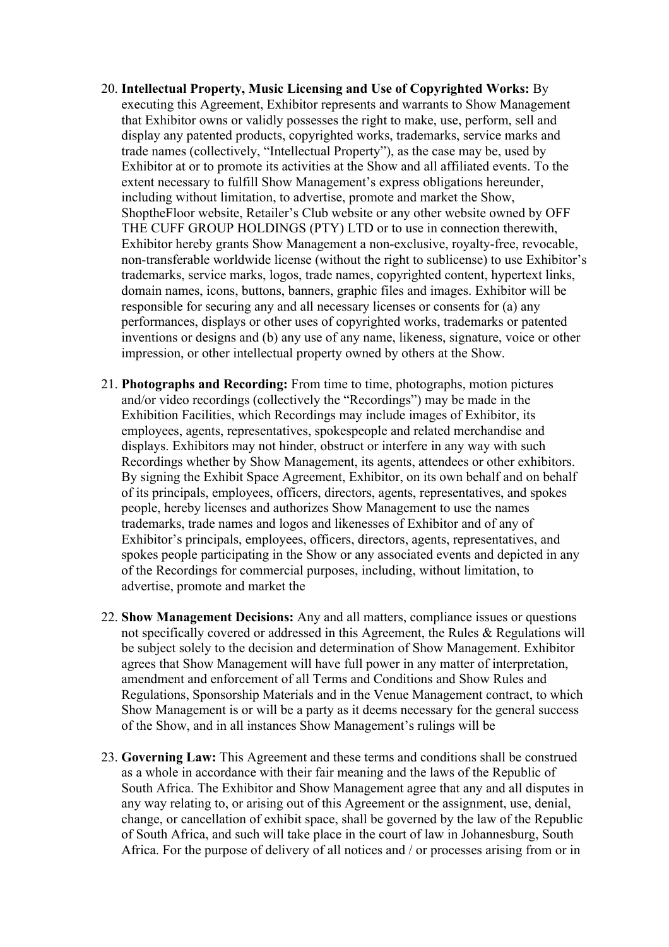- 20. **Intellectual Property, Music Licensing and Use of Copyrighted Works:** By executing this Agreement, Exhibitor represents and warrants to Show Management that Exhibitor owns or validly possesses the right to make, use, perform, sell and display any patented products, copyrighted works, trademarks, service marks and trade names (collectively, "Intellectual Property"), as the case may be, used by Exhibitor at or to promote its activities at the Show and all affiliated events. To the extent necessary to fulfill Show Management's express obligations hereunder, including without limitation, to advertise, promote and market the Show, ShoptheFloor website, Retailer's Club website or any other website owned by OFF THE CUFF GROUP HOLDINGS (PTY) LTD or to use in connection therewith, Exhibitor hereby grants Show Management a non-exclusive, royalty-free, revocable, non-transferable worldwide license (without the right to sublicense) to use Exhibitor's trademarks, service marks, logos, trade names, copyrighted content, hypertext links, domain names, icons, buttons, banners, graphic files and images. Exhibitor will be responsible for securing any and all necessary licenses or consents for (a) any performances, displays or other uses of copyrighted works, trademarks or patented inventions or designs and (b) any use of any name, likeness, signature, voice or other impression, or other intellectual property owned by others at the Show.
- 21. **Photographs and Recording:** From time to time, photographs, motion pictures and/or video recordings (collectively the "Recordings") may be made in the Exhibition Facilities, which Recordings may include images of Exhibitor, its employees, agents, representatives, spokespeople and related merchandise and displays. Exhibitors may not hinder, obstruct or interfere in any way with such Recordings whether by Show Management, its agents, attendees or other exhibitors. By signing the Exhibit Space Agreement, Exhibitor, on its own behalf and on behalf of its principals, employees, officers, directors, agents, representatives, and spokes people, hereby licenses and authorizes Show Management to use the names trademarks, trade names and logos and likenesses of Exhibitor and of any of Exhibitor's principals, employees, officers, directors, agents, representatives, and spokes people participating in the Show or any associated events and depicted in any of the Recordings for commercial purposes, including, without limitation, to advertise, promote and market the
- 22. **Show Management Decisions:** Any and all matters, compliance issues or questions not specifically covered or addressed in this Agreement, the Rules & Regulations will be subject solely to the decision and determination of Show Management. Exhibitor agrees that Show Management will have full power in any matter of interpretation, amendment and enforcement of all Terms and Conditions and Show Rules and Regulations, Sponsorship Materials and in the Venue Management contract, to which Show Management is or will be a party as it deems necessary for the general success of the Show, and in all instances Show Management's rulings will be
- 23. **Governing Law:** This Agreement and these terms and conditions shall be construed as a whole in accordance with their fair meaning and the laws of the Republic of South Africa. The Exhibitor and Show Management agree that any and all disputes in any way relating to, or arising out of this Agreement or the assignment, use, denial, change, or cancellation of exhibit space, shall be governed by the law of the Republic of South Africa, and such will take place in the court of law in Johannesburg, South Africa. For the purpose of delivery of all notices and / or processes arising from or in